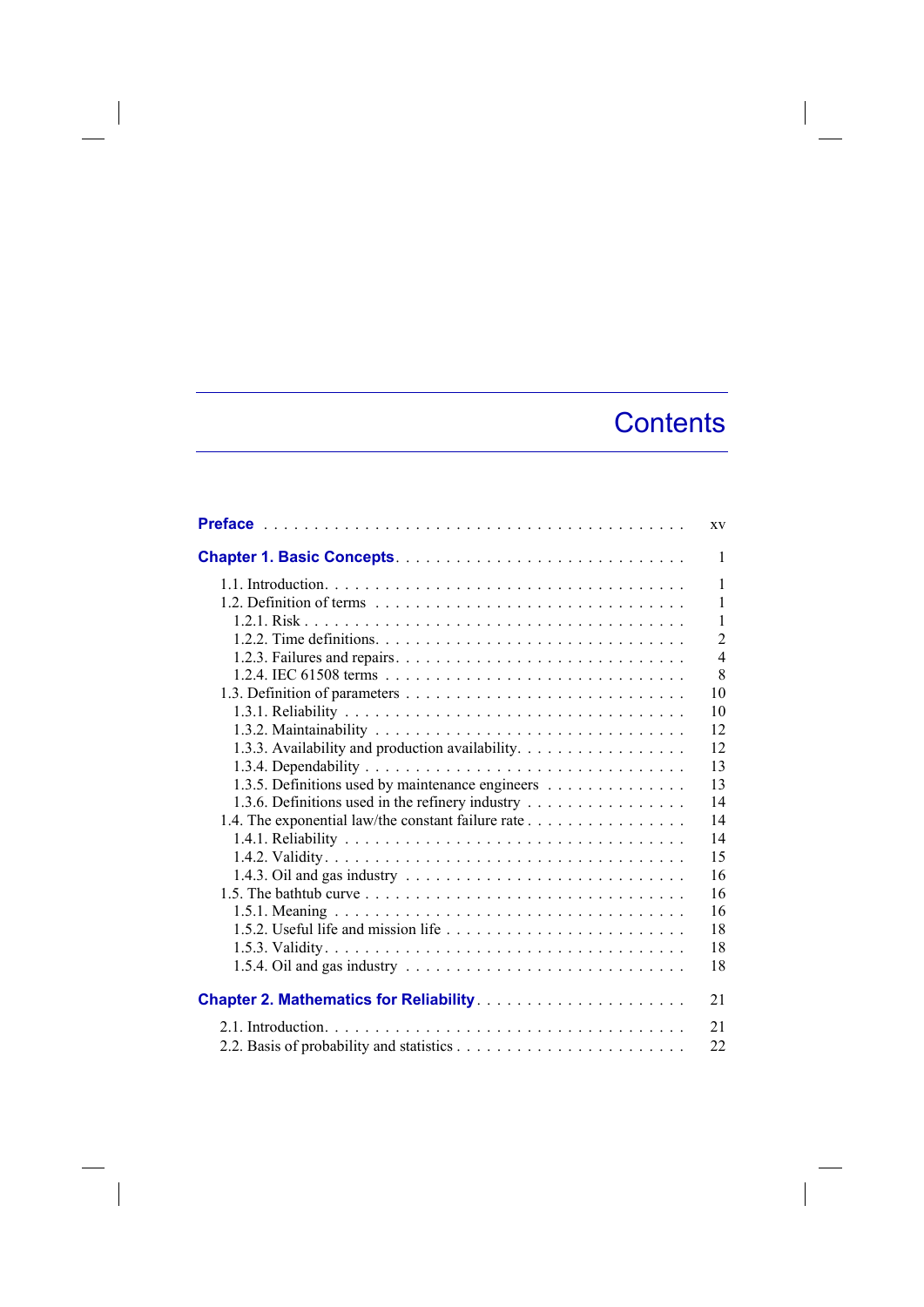## **Contents**

|                                                                                                 | XV             |
|-------------------------------------------------------------------------------------------------|----------------|
|                                                                                                 | $\mathbf{1}$   |
|                                                                                                 | 1              |
|                                                                                                 | 1              |
|                                                                                                 | $\mathbf{1}$   |
|                                                                                                 | $\overline{2}$ |
|                                                                                                 | $\overline{4}$ |
|                                                                                                 | 8              |
|                                                                                                 | 10             |
|                                                                                                 | 10             |
|                                                                                                 | 12             |
| 1.3.3. Availability and production availability.                                                | 12             |
|                                                                                                 | 13             |
| 1.3.5. Definitions used by maintenance engineers                                                | 13             |
| 1.3.6. Definitions used in the refinery industry                                                | 14             |
| 1.4. The exponential law/the constant failure rate                                              | 14             |
|                                                                                                 | 14             |
|                                                                                                 | 15             |
|                                                                                                 | 16             |
|                                                                                                 | 16             |
|                                                                                                 | 16             |
|                                                                                                 | 18             |
|                                                                                                 | 18             |
|                                                                                                 | 18             |
| 1.5.4. Oil and gas industry $\dots \dots \dots \dots \dots \dots \dots \dots \dots \dots \dots$ |                |
|                                                                                                 | 21             |
|                                                                                                 | 21             |
|                                                                                                 | 22             |

 $\overline{\phantom{a}}$ 

I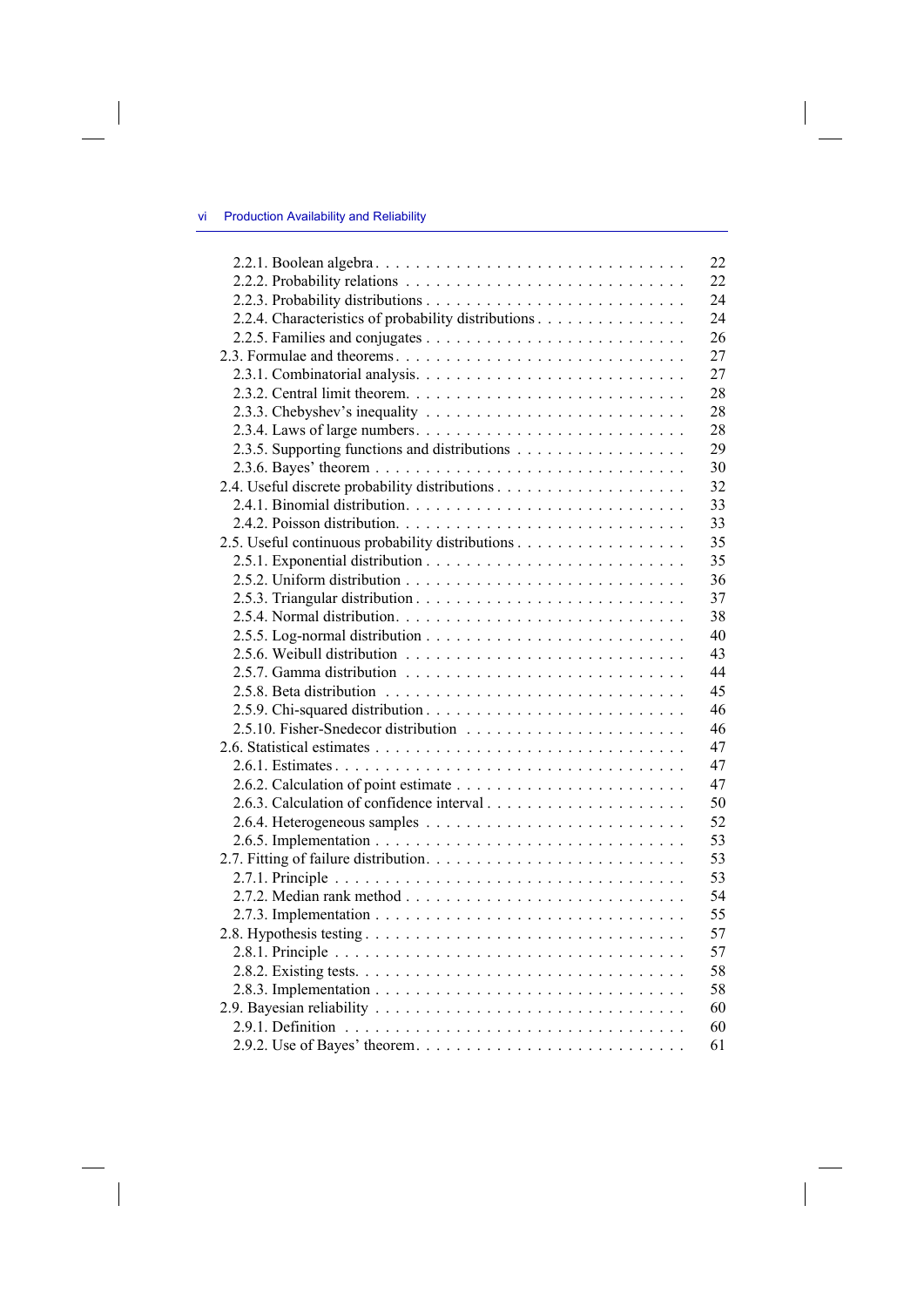$\begin{array}{c} \hline \end{array}$ 

|                                                     | 22 |
|-----------------------------------------------------|----|
|                                                     | 22 |
|                                                     | 24 |
| 2.2.4. Characteristics of probability distributions | 24 |
|                                                     | 26 |
|                                                     | 27 |
|                                                     | 27 |
|                                                     | 28 |
|                                                     | 28 |
|                                                     | 28 |
| 2.3.5. Supporting functions and distributions       | 29 |
|                                                     | 30 |
|                                                     | 32 |
|                                                     | 33 |
|                                                     | 33 |
| 2.5. Useful continuous probability distributions    | 35 |
|                                                     | 35 |
|                                                     | 36 |
|                                                     | 37 |
|                                                     | 38 |
|                                                     | 40 |
|                                                     | 43 |
|                                                     | 44 |
|                                                     | 45 |
|                                                     | 46 |
|                                                     | 46 |
|                                                     | 47 |
|                                                     | 47 |
|                                                     | 47 |
|                                                     | 50 |
|                                                     | 52 |
|                                                     | 53 |
|                                                     | 53 |
|                                                     | 53 |
|                                                     | 54 |
|                                                     | 55 |
|                                                     | 57 |
|                                                     | 57 |
|                                                     | 58 |
|                                                     | 58 |
|                                                     | 60 |
|                                                     | 60 |
|                                                     | 61 |
|                                                     |    |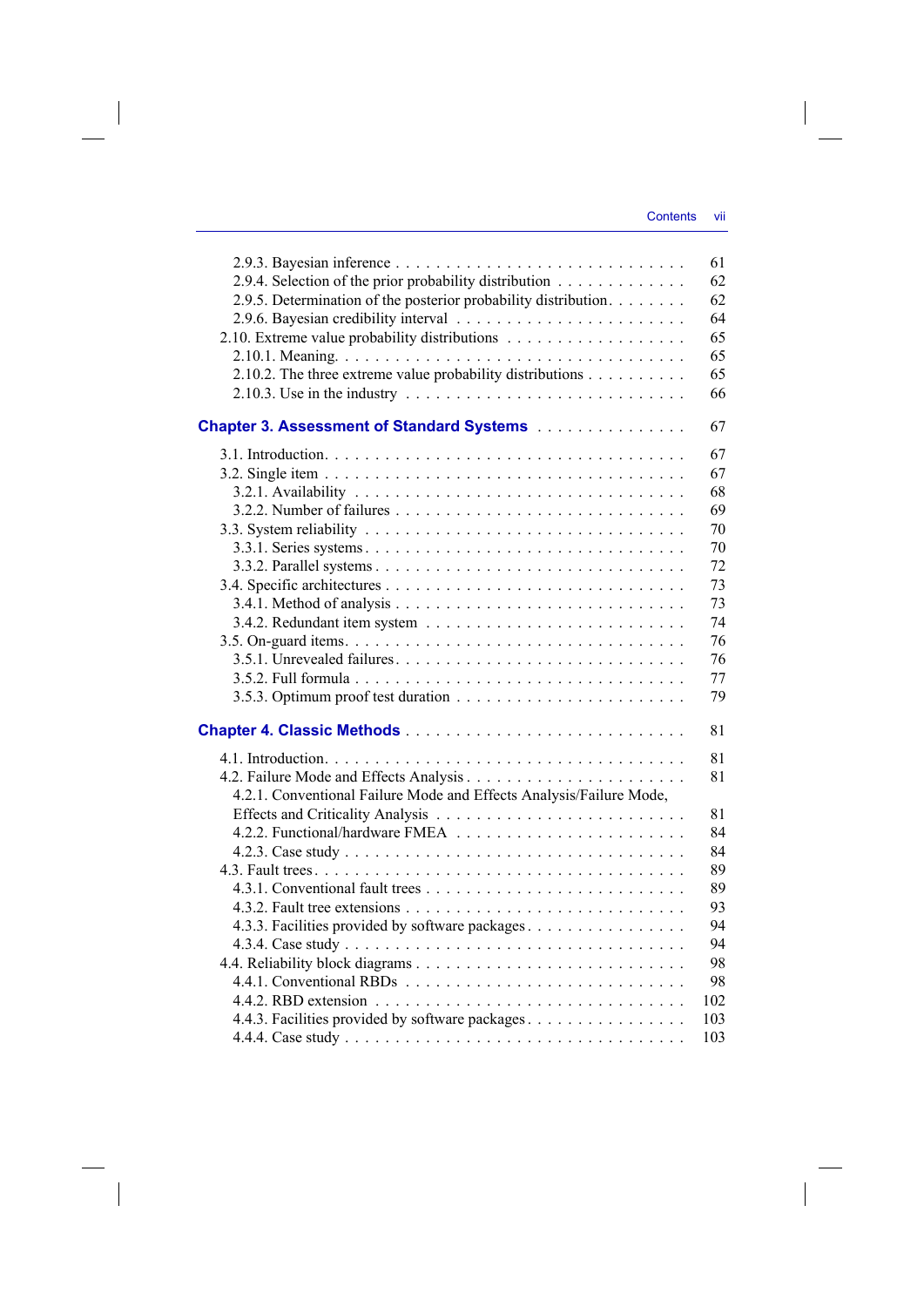| 2.9.4. Selection of the prior probability distribution<br>2.9.5. Determination of the posterior probability distribution. | 61<br>62<br>62 |
|---------------------------------------------------------------------------------------------------------------------------|----------------|
|                                                                                                                           | 64             |
|                                                                                                                           | 65             |
|                                                                                                                           | 65             |
| 2.10.2. The three extreme value probability distributions                                                                 | 65             |
| 2.10.3. Use in the industry $\ldots \ldots \ldots \ldots \ldots \ldots \ldots \ldots \ldots$                              | 66             |
| Chapter 3. Assessment of Standard Systems [11] Chapter 3. Assessment of Standard Systems [11] Albert                      | 67             |
|                                                                                                                           | 67             |
|                                                                                                                           | 67             |
|                                                                                                                           | 68             |
|                                                                                                                           | 69             |
|                                                                                                                           | 70             |
|                                                                                                                           | 70             |
|                                                                                                                           | 72             |
|                                                                                                                           | 73             |
|                                                                                                                           | 73             |
|                                                                                                                           | 74             |
|                                                                                                                           | 76             |
|                                                                                                                           | 76             |
|                                                                                                                           | 77             |
|                                                                                                                           | 79             |
|                                                                                                                           |                |
|                                                                                                                           | 81             |
|                                                                                                                           | 81             |
|                                                                                                                           | 81             |
| 4.2.1. Conventional Failure Mode and Effects Analysis/Failure Mode,                                                       |                |
|                                                                                                                           | 81             |
|                                                                                                                           | 84             |
|                                                                                                                           | 84             |
|                                                                                                                           | 89             |
|                                                                                                                           | 89             |
|                                                                                                                           | 93             |
| 4.3.3. Facilities provided by software packages                                                                           | 94             |
|                                                                                                                           | 94             |
|                                                                                                                           | 98             |
|                                                                                                                           | 98             |
|                                                                                                                           | 102            |
| 4.4.3. Facilities provided by software packages                                                                           | 103            |
|                                                                                                                           | 103            |
|                                                                                                                           |                |

 $\overline{\phantom{a}}$ 

 $\begin{array}{c} \hline \end{array}$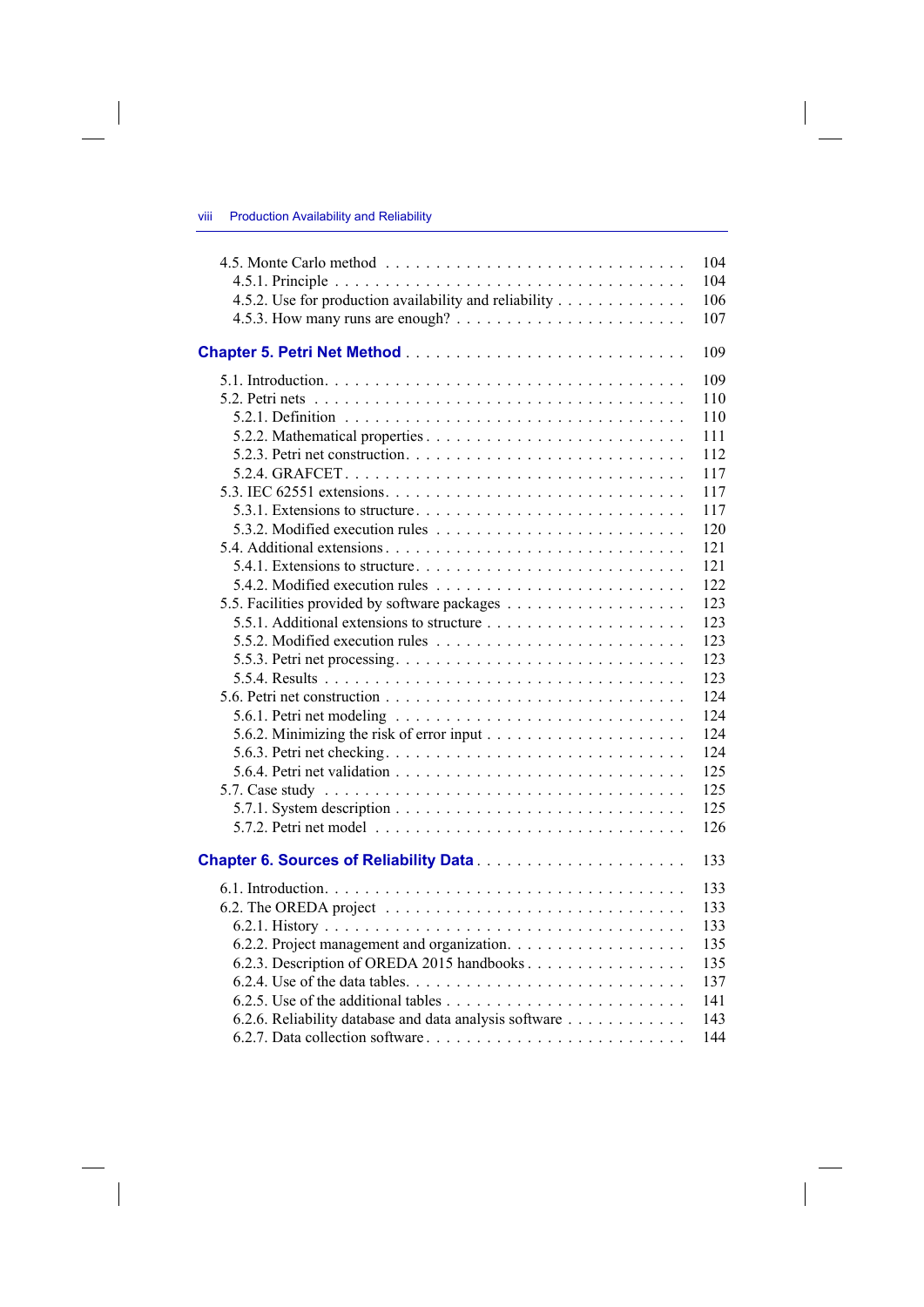|                                                                                                          | 104 |
|----------------------------------------------------------------------------------------------------------|-----|
|                                                                                                          | 104 |
| 4.5.2. Use for production availability and reliability                                                   | 106 |
|                                                                                                          | 107 |
|                                                                                                          | 109 |
|                                                                                                          | 109 |
|                                                                                                          | 110 |
|                                                                                                          | 110 |
|                                                                                                          | 111 |
|                                                                                                          | 112 |
|                                                                                                          | 117 |
|                                                                                                          | 117 |
|                                                                                                          | 117 |
|                                                                                                          | 120 |
|                                                                                                          | 121 |
|                                                                                                          | 121 |
|                                                                                                          | 122 |
|                                                                                                          | 123 |
|                                                                                                          | 123 |
|                                                                                                          | 123 |
| 5.5.3. Petri net processing. $\dots \dots \dots \dots \dots \dots \dots \dots \dots \dots \dots \dots$   | 123 |
|                                                                                                          | 123 |
|                                                                                                          | 124 |
|                                                                                                          | 124 |
| 5.6.2. Minimizing the risk of error input $\dots \dots \dots \dots \dots \dots \dots$                    | 124 |
|                                                                                                          | 124 |
|                                                                                                          | 125 |
|                                                                                                          | 125 |
|                                                                                                          | 125 |
| 5.7.1. System description $\ldots \ldots \ldots \ldots \ldots \ldots \ldots \ldots \ldots \ldots \ldots$ | 126 |
|                                                                                                          |     |
|                                                                                                          | 133 |
|                                                                                                          | 133 |
|                                                                                                          | 133 |
|                                                                                                          | 133 |
|                                                                                                          | 135 |
| 6.2.3. Description of OREDA 2015 handbooks                                                               | 135 |
|                                                                                                          | 137 |
|                                                                                                          | 141 |
| 6.2.6. Reliability database and data analysis software                                                   | 143 |
|                                                                                                          | 144 |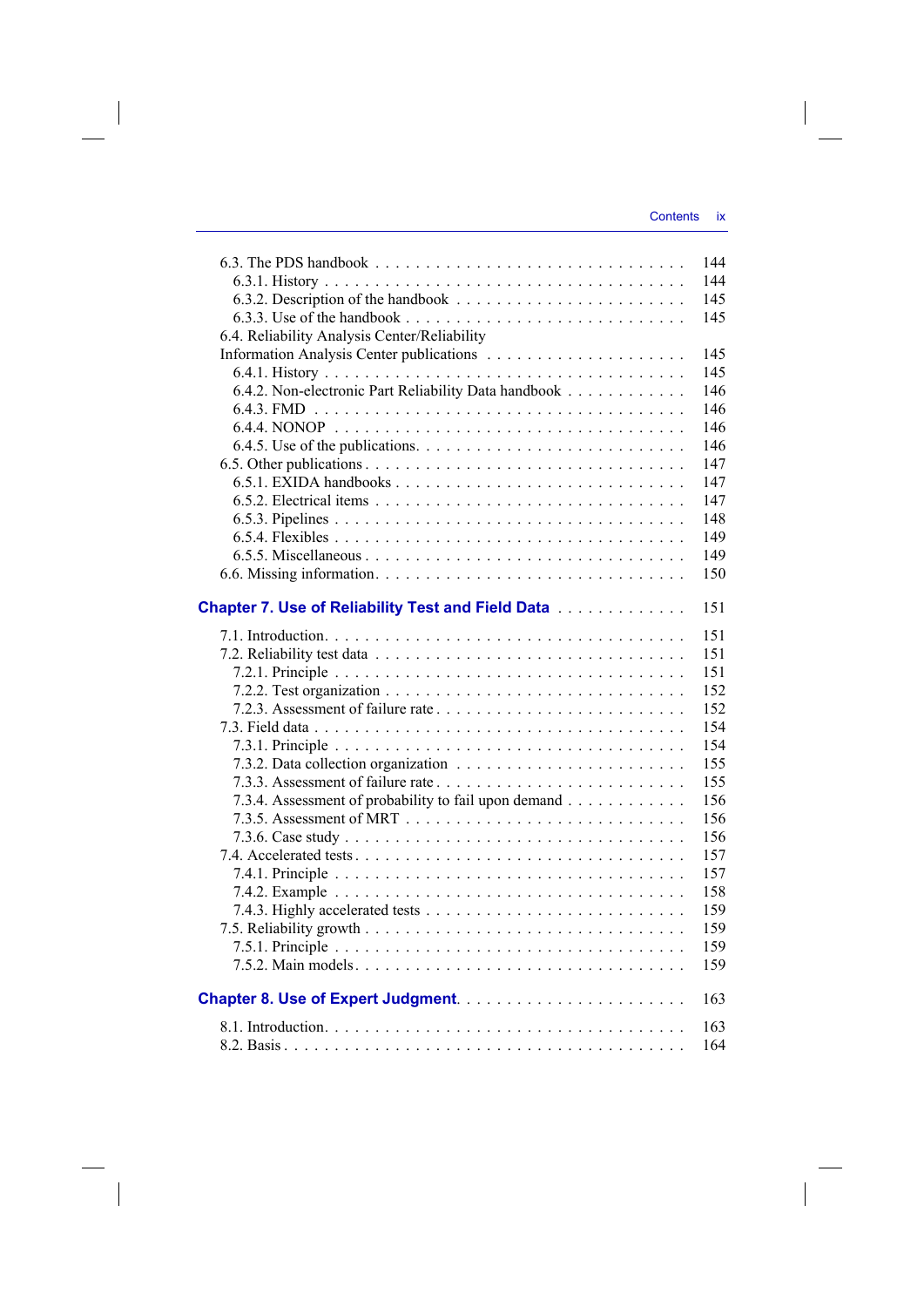|                                                                                                                  | 144 |
|------------------------------------------------------------------------------------------------------------------|-----|
|                                                                                                                  | 144 |
|                                                                                                                  | 145 |
| 6.3.3. Use of the handbook $\ldots$ , $\ldots$ , $\ldots$ , $\ldots$ , $\ldots$ , $\ldots$ , $\ldots$ , $\ldots$ | 145 |
| 6.4. Reliability Analysis Center/Reliability                                                                     |     |
|                                                                                                                  | 145 |
|                                                                                                                  | 145 |
| 6.4.2. Non-electronic Part Reliability Data handbook                                                             | 146 |
|                                                                                                                  | 146 |
|                                                                                                                  | 146 |
|                                                                                                                  | 146 |
|                                                                                                                  | 147 |
|                                                                                                                  | 147 |
|                                                                                                                  |     |
|                                                                                                                  | 147 |
|                                                                                                                  | 148 |
|                                                                                                                  | 149 |
|                                                                                                                  | 149 |
|                                                                                                                  | 150 |
| <b>Chapter 7. Use of Reliability Test and Field Data</b>                                                         | 151 |
|                                                                                                                  | 151 |
|                                                                                                                  | 151 |
|                                                                                                                  | 151 |
|                                                                                                                  | 152 |
|                                                                                                                  | 152 |
|                                                                                                                  | 154 |
|                                                                                                                  | 154 |
|                                                                                                                  | 155 |
| 7.3.3. Assessment of failure rate                                                                                | 155 |
| 7.3.4. Assessment of probability to fail upon demand                                                             | 156 |
|                                                                                                                  | 156 |
|                                                                                                                  | 156 |
|                                                                                                                  |     |
|                                                                                                                  | 157 |
|                                                                                                                  | 157 |
|                                                                                                                  | 158 |
|                                                                                                                  | 159 |
|                                                                                                                  | 159 |
|                                                                                                                  | 159 |
|                                                                                                                  | 159 |
|                                                                                                                  | 163 |
|                                                                                                                  | 163 |
|                                                                                                                  | 164 |
|                                                                                                                  |     |

 $\overline{\phantom{a}}$ 

 $\begin{array}{c} \hline \end{array}$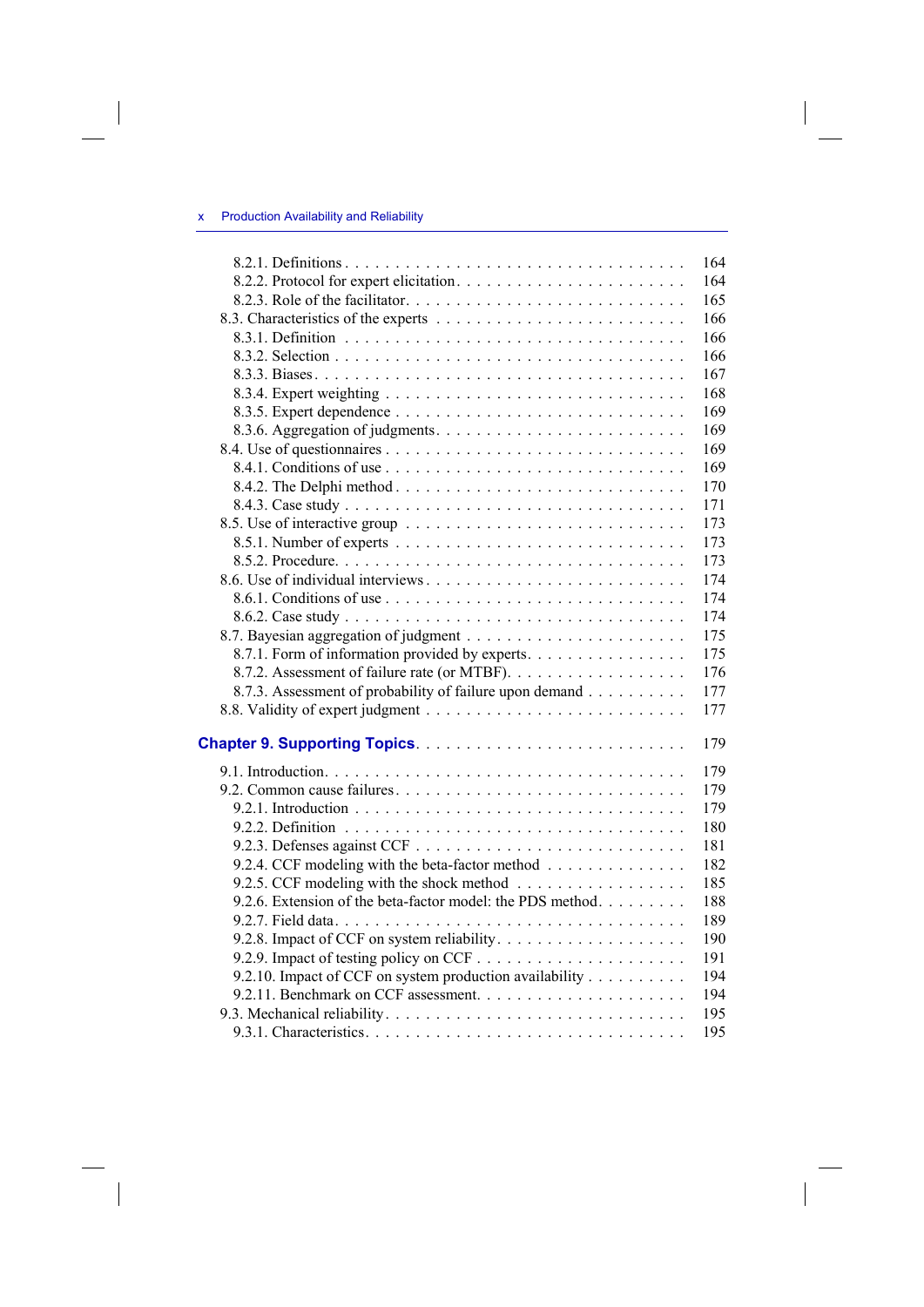$\begin{array}{c} \hline \end{array}$ 

|                                                           | 164 |
|-----------------------------------------------------------|-----|
|                                                           | 164 |
|                                                           | 165 |
|                                                           | 166 |
|                                                           | 166 |
|                                                           | 166 |
|                                                           | 167 |
|                                                           | 168 |
|                                                           | 169 |
|                                                           | 169 |
|                                                           | 169 |
|                                                           | 169 |
|                                                           | 170 |
|                                                           | 171 |
|                                                           | 173 |
|                                                           | 173 |
|                                                           | 173 |
|                                                           | 174 |
|                                                           | 174 |
|                                                           | 174 |
|                                                           | 175 |
| 8.7.1. Form of information provided by experts.           | 175 |
| 8.7.2. Assessment of failure rate (or MTBF).              | 176 |
| 8.7.3. Assessment of probability of failure upon demand   | 177 |
|                                                           | 177 |
|                                                           | 179 |
|                                                           |     |
|                                                           | 179 |
|                                                           | 179 |
|                                                           | 179 |
|                                                           | 180 |
|                                                           | 181 |
| 9.2.4. CCF modeling with the beta-factor method           | 182 |
| 9.2.5. CCF modeling with the shock method                 | 185 |
| 9.2.6. Extension of the beta-factor model: the PDS method | 188 |
|                                                           | 189 |
|                                                           | 190 |
|                                                           | 191 |
| 9.2.10. Impact of CCF on system production availability   | 194 |
|                                                           | 194 |
|                                                           | 195 |
|                                                           | 195 |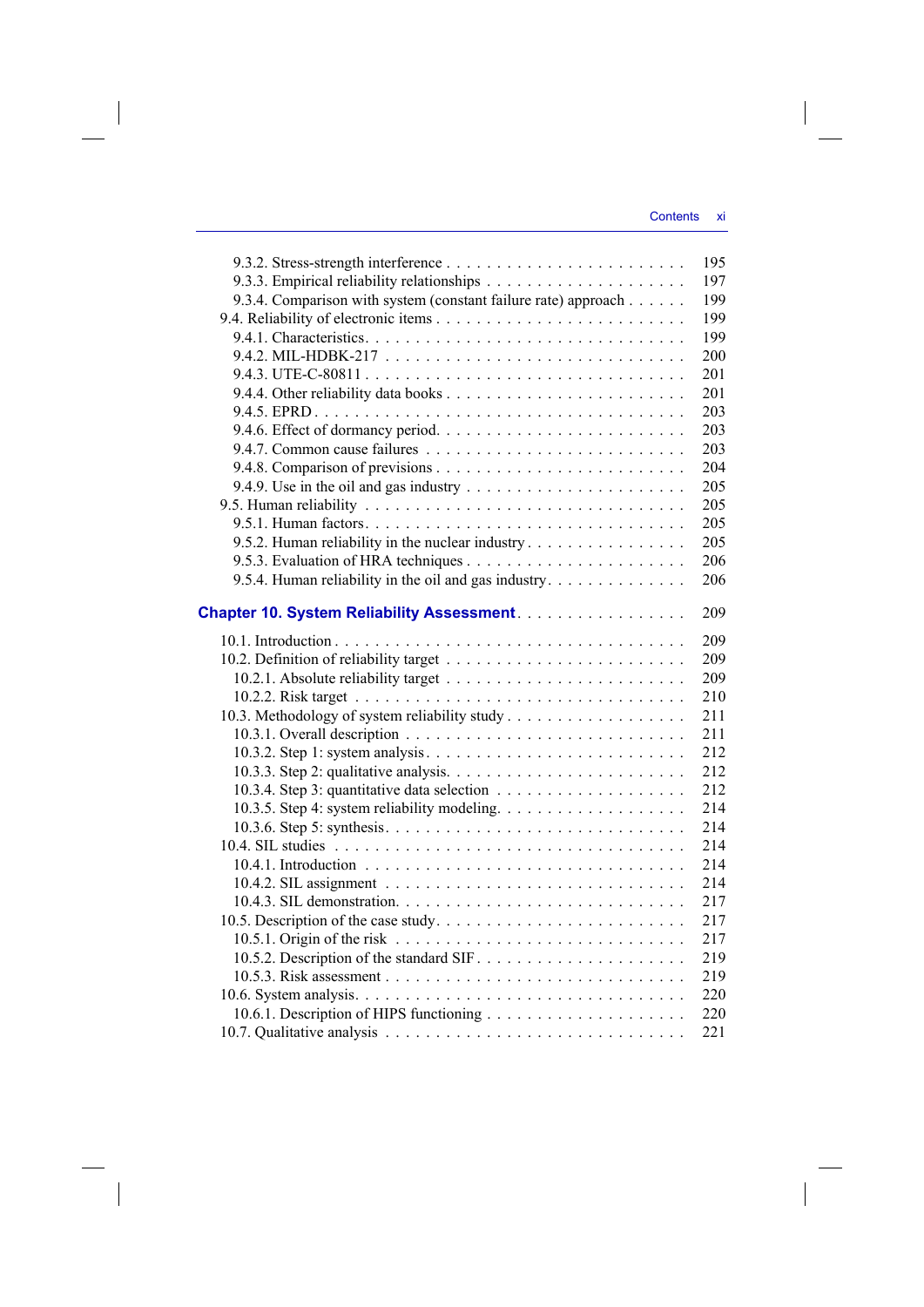|                                                                | 195 |
|----------------------------------------------------------------|-----|
|                                                                | 197 |
| 9.3.4. Comparison with system (constant failure rate) approach | 199 |
|                                                                | 199 |
|                                                                | 199 |
|                                                                | 200 |
|                                                                | 201 |
|                                                                | 201 |
|                                                                | 203 |
|                                                                | 203 |
|                                                                | 203 |
|                                                                | 204 |
|                                                                | 205 |
|                                                                | 205 |
|                                                                | 205 |
| 9.5.2. Human reliability in the nuclear industry               | 205 |
|                                                                | 206 |
| 9.5.4. Human reliability in the oil and gas industry.          | 206 |
|                                                                |     |
| Chapter 10. System Reliability Assessment.                     | 209 |
|                                                                | 209 |
|                                                                | 209 |
|                                                                | 209 |
|                                                                | 210 |
|                                                                | 211 |
|                                                                | 211 |
|                                                                | 212 |
|                                                                | 212 |
|                                                                | 212 |
|                                                                | 214 |
|                                                                | 214 |
|                                                                | 214 |
|                                                                | 214 |
|                                                                | 214 |
|                                                                | 217 |
|                                                                | 217 |
|                                                                | 217 |
|                                                                | 219 |
|                                                                | 219 |
|                                                                | 220 |
|                                                                | 220 |
|                                                                | 221 |

 $\overline{\phantom{a}}$ 

 $\begin{array}{c} \hline \end{array}$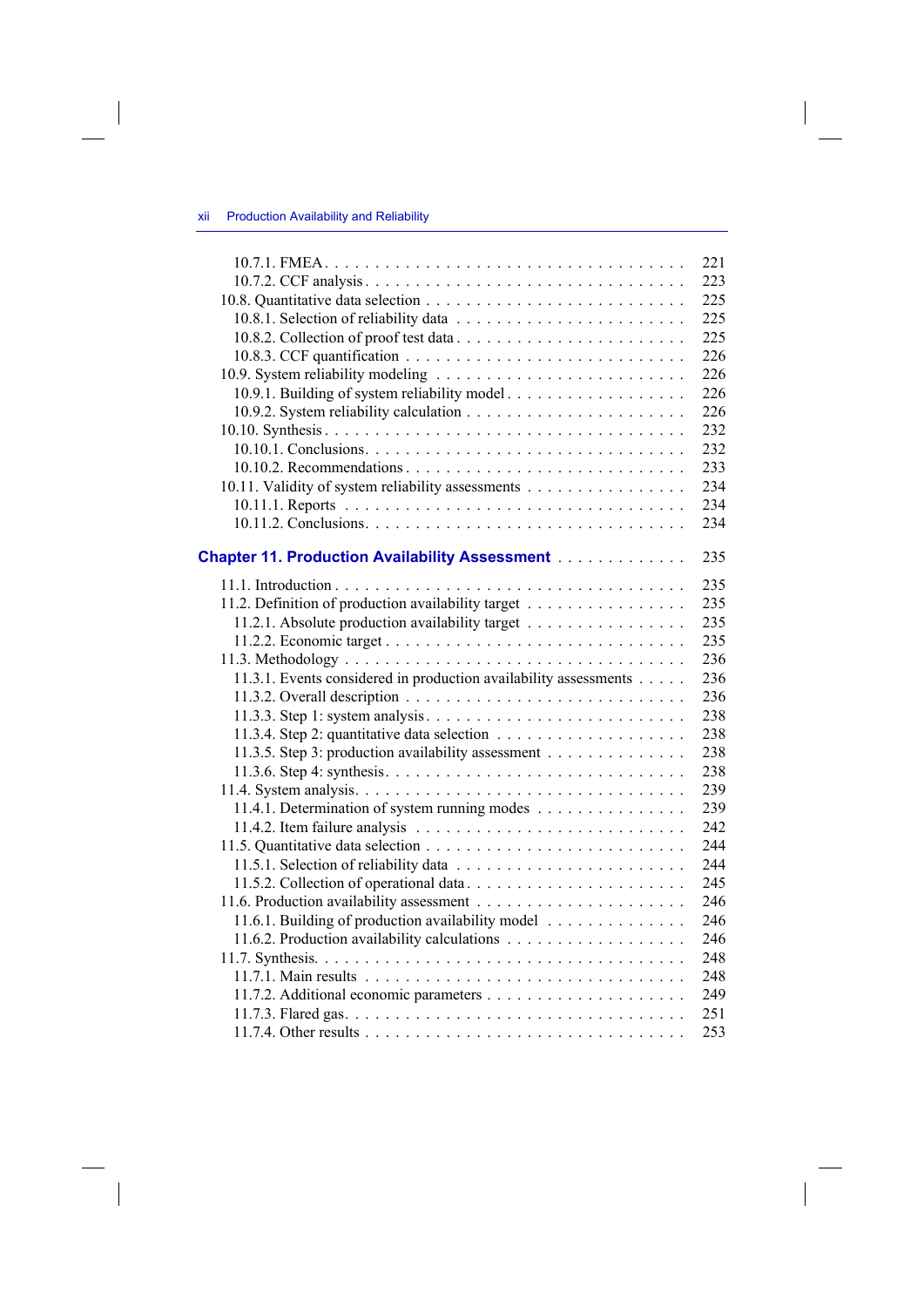$\begin{array}{c} \hline \end{array}$ 

| 10.9.1. Building of system reliability model<br>10.11. Validity of system reliability assessments<br><b>Chapter 11. Production Availability Assessment</b><br>11.2. Definition of production availability target<br>11.2.1. Absolute production availability target | 221<br>223<br>225<br>225<br>225<br>226<br>226<br>226<br>226<br>232<br>232<br>233<br>234<br>234<br>234 |
|---------------------------------------------------------------------------------------------------------------------------------------------------------------------------------------------------------------------------------------------------------------------|-------------------------------------------------------------------------------------------------------|
|                                                                                                                                                                                                                                                                     |                                                                                                       |
|                                                                                                                                                                                                                                                                     |                                                                                                       |
|                                                                                                                                                                                                                                                                     |                                                                                                       |
|                                                                                                                                                                                                                                                                     |                                                                                                       |
|                                                                                                                                                                                                                                                                     |                                                                                                       |
|                                                                                                                                                                                                                                                                     |                                                                                                       |
|                                                                                                                                                                                                                                                                     |                                                                                                       |
|                                                                                                                                                                                                                                                                     |                                                                                                       |
|                                                                                                                                                                                                                                                                     |                                                                                                       |
|                                                                                                                                                                                                                                                                     |                                                                                                       |
|                                                                                                                                                                                                                                                                     |                                                                                                       |
|                                                                                                                                                                                                                                                                     |                                                                                                       |
|                                                                                                                                                                                                                                                                     |                                                                                                       |
|                                                                                                                                                                                                                                                                     |                                                                                                       |
|                                                                                                                                                                                                                                                                     |                                                                                                       |
|                                                                                                                                                                                                                                                                     |                                                                                                       |
|                                                                                                                                                                                                                                                                     | 235                                                                                                   |
|                                                                                                                                                                                                                                                                     | 235                                                                                                   |
|                                                                                                                                                                                                                                                                     | 235                                                                                                   |
|                                                                                                                                                                                                                                                                     | 235                                                                                                   |
|                                                                                                                                                                                                                                                                     | 235                                                                                                   |
|                                                                                                                                                                                                                                                                     | 236                                                                                                   |
| 11.3.1. Events considered in production availability assessments                                                                                                                                                                                                    | 236                                                                                                   |
|                                                                                                                                                                                                                                                                     | 236                                                                                                   |
|                                                                                                                                                                                                                                                                     | 238                                                                                                   |
|                                                                                                                                                                                                                                                                     |                                                                                                       |
| 11.3.5. Step 3: production availability assessment                                                                                                                                                                                                                  |                                                                                                       |
| 11.3.6. Step 4: synthesis. $\dots \dots \dots \dots \dots \dots \dots \dots \dots \dots \dots \dots \dots$                                                                                                                                                          | 238<br>238                                                                                            |
|                                                                                                                                                                                                                                                                     | 238                                                                                                   |
|                                                                                                                                                                                                                                                                     | 239                                                                                                   |
|                                                                                                                                                                                                                                                                     | 239                                                                                                   |
| 11.4.1. Determination of system running modes                                                                                                                                                                                                                       | 242                                                                                                   |
|                                                                                                                                                                                                                                                                     | 244                                                                                                   |
|                                                                                                                                                                                                                                                                     | 244                                                                                                   |
|                                                                                                                                                                                                                                                                     | 245                                                                                                   |
|                                                                                                                                                                                                                                                                     | 246                                                                                                   |
|                                                                                                                                                                                                                                                                     | 246                                                                                                   |
| 11.6.1. Building of production availability model                                                                                                                                                                                                                   | 246                                                                                                   |
|                                                                                                                                                                                                                                                                     | 248                                                                                                   |
|                                                                                                                                                                                                                                                                     | 248                                                                                                   |
|                                                                                                                                                                                                                                                                     | 249                                                                                                   |
|                                                                                                                                                                                                                                                                     | 251                                                                                                   |